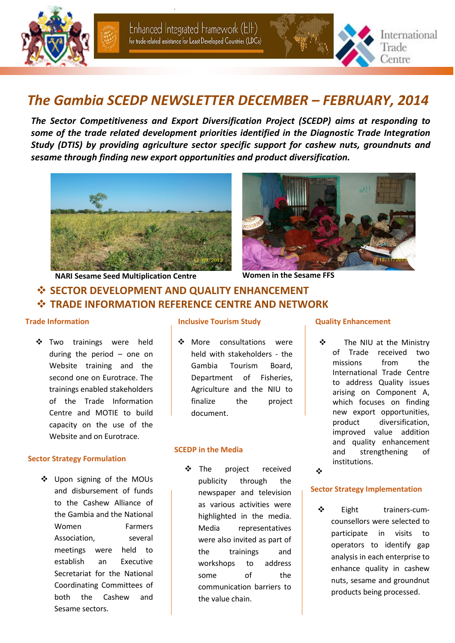Enhanced Integrated Framework (EIF) for trade-related assistance for Least Developed Countries (LDCs)





# *The Gambia SCEDP NEWSLETTER DECEMBER – FEBRUARY, 2014*

*The Sector Competitiveness and Export Diversification Project (SCEDP) aims at responding to some of the trade related development priorities identified in the Diagnostic Trade Integration Study (DTIS) by providing agriculture sector specific support for cashew nuts, groundnuts and sesame through finding new export opportunities and product diversification.* 





**NARI Sesame Seed Multiplication Centre** 

 **SECTOR DEVELOPMENT AND QUALITY ENHANCEMENT TRADE INFORMATION REFERENCE CENTRE AND NETWORK** 

#### **Trade Information**

❖ Two trainings were held during the period – one on Website training and the second one on Eurotrace. The trainings enabled stakeholders of the Trade Information Centre and MOTIE to build capacity on the use of the Website and on Eurotrace.

#### **Sector Strategy Formulation**

 Upon signing of the MOUs and disbursement of funds to the Cashew Alliance of the Gambia and the National Women Farmers Association, several meetings were held to establish an Executive Secretariat for the National Coordinating Committees of both the Cashew and Sesame sectors.

#### **Inclusive Tourism Study**

❖ More consultations were held with stakeholders - the Gambia Tourism Board, Department of Fisheries, Agriculture and the NIU to finalize the project document.

#### **SCEDP in the Media**

❖ The project received publicity through the newspaper and television as various activities were highlighted in the media. Media representatives were also invited as part of the trainings and workshops to address some of the communication barriers to the value chain.

#### **Quality Enhancement**

- The NIU at the Ministry of Trade received two missions from the International Trade Centre to address Quality issues arising on Component A, which focuses on finding new export opportunities, product diversification, improved value addition and quality enhancement and strengthening of institutions.
- $\frac{1}{2}$

## **Sector Strategy Implementation**

 Eight trainers-cumcounsellors were selected to participate in visits to operators to identify gap analysis in each enterprise to enhance quality in cashew nuts, sesame and groundnut products being processed.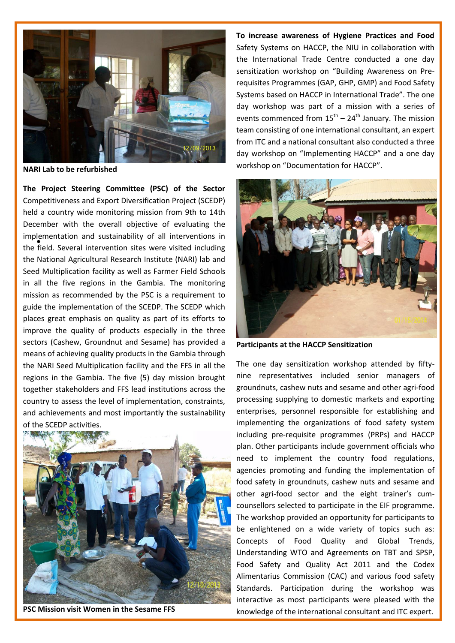

**NARI Lab to be refurbished** 

 implementation and sustainability of all interventions in **The Project Steering Committee (PSC) of the Sector**  Competitiveness and Export Diversification Project (SCEDP) held a country wide monitoring mission from 9th to 14th December with the overall objective of evaluating the the field. Several intervention sites were visited including the National Agricultural Research Institute (NARI) lab and Seed Multiplication facility as well as Farmer Field Schools in all the five regions in the Gambia. The monitoring mission as recommended by the PSC is a requirement to guide the implementation of the SCEDP. The SCEDP which places great emphasis on quality as part of its efforts to improve the quality of products especially in the three sectors (Cashew, Groundnut and Sesame) has provided a means of achieving quality products in the Gambia through the NARI Seed Multiplication facility and the FFS in all the regions in the Gambia. The five (5) day mission brought together stakeholders and FFS lead institutions across the country to assess the level of implementation, constraints, and achievements and most importantly the sustainability of the SCEDP activities.



**PSC Mission visit Women in the Sesame FFS** 

**To increase awareness of Hygiene Practices and Food** Safety Systems on HACCP, the NIU in collaboration with the International Trade Centre conducted a one day sensitization workshop on "Building Awareness on Prerequisites Programmes (GAP, GHP, GMP) and Food Safety Systems based on HACCP in International Trade". The one day workshop was part of a mission with a series of events commenced from  $15^{th}$  –  $24^{th}$  January. The mission team consisting of one international consultant, an expert from ITC and a national consultant also conducted a three day workshop on "Implementing HACCP" and a one day workshop on "Documentation for HACCP".



**Participants at the HACCP Sensitization** 

The one day sensitization workshop attended by fiftynine representatives included senior managers of groundnuts, cashew nuts and sesame and other agri-food processing supplying to domestic markets and exporting enterprises, personnel responsible for establishing and implementing the organizations of food safety system including pre-requisite programmes (PRPs) and HACCP plan. Other participants include government officials who need to implement the country food regulations, agencies promoting and funding the implementation of food safety in groundnuts, cashew nuts and sesame and other agri-food sector and the eight trainer's cumcounsellors selected to participate in the EIF programme. The workshop provided an opportunity for participants to be enlightened on a wide variety of topics such as: Concepts of Food Quality and Global Trends, Understanding WTO and Agreements on TBT and SPSP, Food Safety and Quality Act 2011 and the Codex Alimentarius Commission (CAC) and various food safety Standards. Participation during the workshop was interactive as most participants were pleased with the knowledge of the international consultant and ITC expert.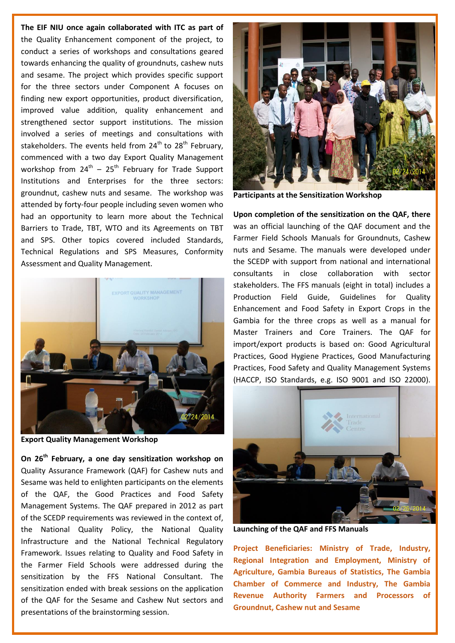# **The EIF NIU once again collaborated with ITC as part of** the Quality Enhancement component of the project, to conduct a series of workshops and consultations geared towards enhancing the quality of groundnuts, cashew nuts and sesame. The project which provides specific support for the three sectors under Component A focuses on finding new export opportunities, product diversification, improved value addition, quality enhancement and strengthened sector support institutions. The mission involved a series of meetings and consultations with stakeholders. The events held from  $24<sup>th</sup>$  to  $28<sup>th</sup>$  February, commenced with a two day Export Quality Management workshop from  $24^{th}$  –  $25^{th}$  February for Trade Support Institutions and Enterprises for the three sectors: groundnut, cashew nuts and sesame. The workshop was attended by forty-four people including seven women who had an opportunity to learn more about the Technical Barriers to Trade, TBT, WTO and its Agreements on TBT and SPS. Other topics covered included Standards, Technical Regulations and SPS Measures, Conformity Assessment and Quality Management.



**Export Quality Management Workshop**

**On 26th February, a one day sensitization workshop on** Quality Assurance Framework (QAF) for Cashew nuts and Sesame was held to enlighten participants on the elements of the QAF, the Good Practices and Food Safety Management Systems. The QAF prepared in 2012 as part of the SCEDP requirements was reviewed in the context of, the National Quality Policy, the National Quality Infrastructure and the National Technical Regulatory Framework. Issues relating to Quality and Food Safety in the Farmer Field Schools were addressed during the sensitization by the FFS National Consultant. The sensitization ended with break sessions on the application of the QAF for the Sesame and Cashew Nut sectors and presentations of the brainstorming session.



**Participants at the Sensitization Workshop**

**Upon completion of the sensitization on the QAF, there** was an official launching of the QAF document and the Farmer Field Schools Manuals for Groundnuts, Cashew nuts and Sesame. The manuals were developed under the SCEDP with support from national and international consultants in close collaboration with sector stakeholders. The FFS manuals (eight in total) includes a Production Field Guide, Guidelines for Quality Enhancement and Food Safety in Export Crops in the Gambia for the three crops as well as a manual for Master Trainers and Core Trainers. The QAF for import/export products is based on: Good Agricultural Practices, Good Hygiene Practices, Good Manufacturing Practices, Food Safety and Quality Management Systems (HACCP, ISO Standards, e.g. ISO 9001 and ISO 22000).



**Launching of the QAF and FFS Manuals**

**Project Beneficiaries: Ministry of Trade, Industry, Regional Integration and Employment, Ministry of Agriculture, Gambia Bureaus of Statistics, The Gambia Chamber of Commerce and Industry, The Gambia Revenue Authority Farmers and Processors of Groundnut, Cashew nut and Sesame**